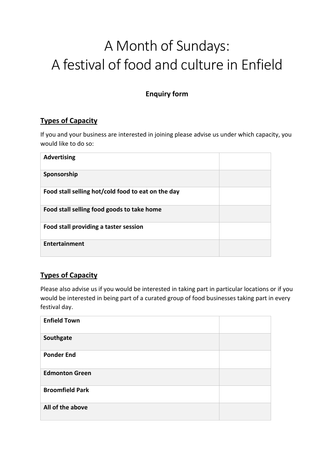# A Month of Sundays: A festival of food and culture in Enfield

## **Enquiry form**

### **Types of Capacity**

If you and your business are interested in joining please advise us under which capacity, you would like to do so:

| <b>Advertising</b>                                 |  |
|----------------------------------------------------|--|
| Sponsorship                                        |  |
| Food stall selling hot/cold food to eat on the day |  |
| Food stall selling food goods to take home         |  |
| Food stall providing a taster session              |  |
| <b>Entertainment</b>                               |  |

### **Types of Capacity**

Please also advise us if you would be interested in taking part in particular locations or if you would be interested in being part of a curated group of food businesses taking part in every festival day.

| <b>Enfield Town</b>    |  |
|------------------------|--|
| Southgate              |  |
| <b>Ponder End</b>      |  |
| <b>Edmonton Green</b>  |  |
| <b>Broomfield Park</b> |  |
| All of the above       |  |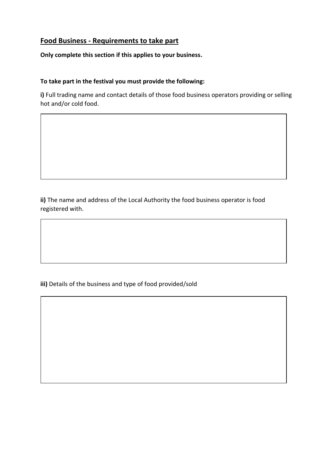#### **Food Business - Requirements to take part**

**Only complete this section if this applies to your business.**

#### **To take part in the festival you must provide the following:**

**i)** Full trading name and contact details of those food business operators providing or selling hot and/or cold food.

**ii)** The name and address of the Local Authority the food business operator is food registered with.

**iii)** Details of the business and type of food provided/sold